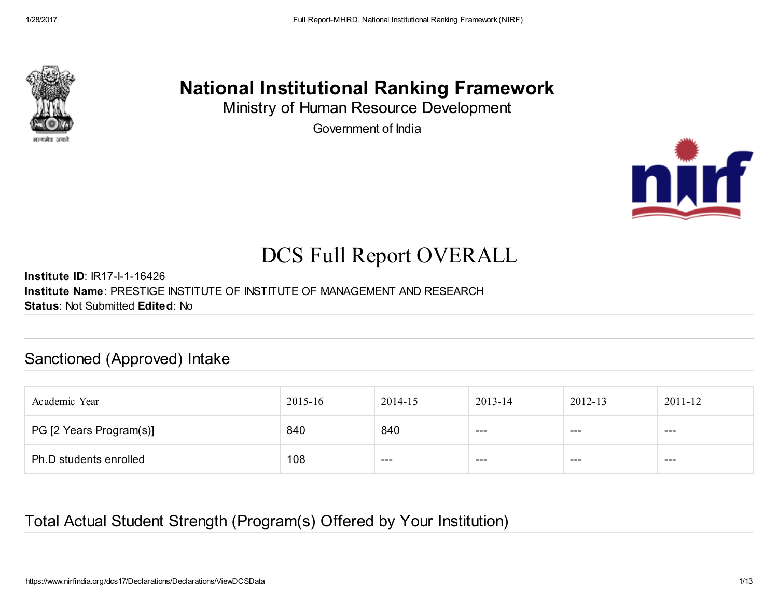

# National Institutional Ranking Framework

Ministry of Human Resource Development Government of India



# DCS Full Report OVERALL

Institute ID: IR17-I-1-16426 Institute Name: PRESTIGE INSTITUTE OF INSTITUTE OF MANAGEMENT AND RESEARCH Status: Not Submitted Edited: No

### Sanctioned (Approved) Intake

| Academic Year           | 2015-16 | 2014-15 | 2013-14 | 2012-13 | $2011 - 12$ |
|-------------------------|---------|---------|---------|---------|-------------|
| PG [2 Years Program(s)] | 840     | 840     | $- - -$ | $--$    | $--$        |
| Ph.D students enrolled  | 108     | ---     | ---     | $--$    | ---         |

### Total Actual Student Strength (Program(s) Offered by Your Institution)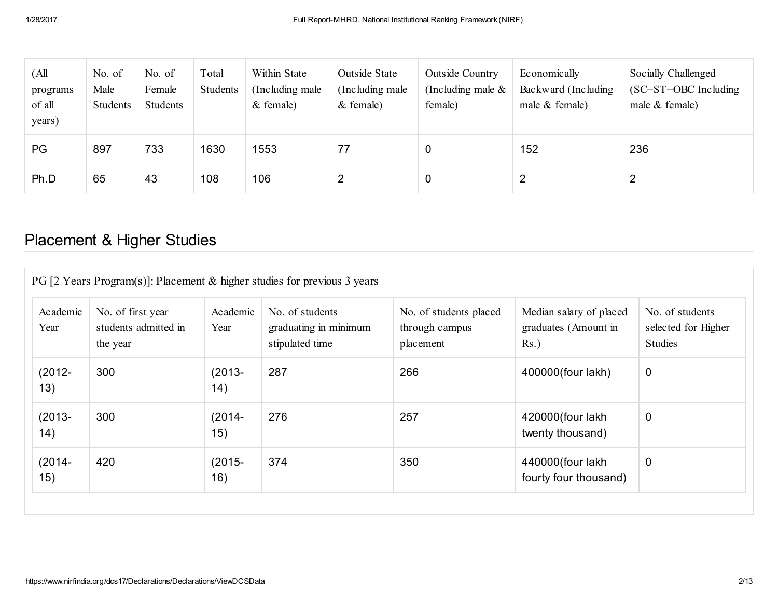| (All<br>programs<br>of all<br>years) | No. of<br>Male<br>Students | No. of<br>Female<br>Students | Total<br>Students | Within State<br>(Including male)<br>$&$ female) | Outside State<br>(Including male)<br>$&$ female) | <b>Outside Country</b><br>(Including male $\&$<br>female) | Economically<br>Backward (Including<br>male $&$ female) | Socially Challenged<br>$(SC+ST+OBC$ Including<br>male $&$ female) |
|--------------------------------------|----------------------------|------------------------------|-------------------|-------------------------------------------------|--------------------------------------------------|-----------------------------------------------------------|---------------------------------------------------------|-------------------------------------------------------------------|
| PG                                   | 897                        | 733                          | 1630              | 1553                                            | 77                                               |                                                           | 152                                                     | 236                                                               |
| Ph.D                                 | 65                         | 43                           | 108               | 106                                             | 2                                                | C                                                         |                                                         | 2                                                                 |

# Placement & Higher Studies

| Academic<br>Year | No. of first year<br>students admitted in<br>the year | Academic<br>Year | No. of students<br>graduating in minimum<br>stipulated time | No. of students placed<br>through campus<br>placement | Median salary of placed<br>graduates (Amount in<br>$Rs.$ ) | No. of students<br>selected for Higher<br><b>Studies</b> |
|------------------|-------------------------------------------------------|------------------|-------------------------------------------------------------|-------------------------------------------------------|------------------------------------------------------------|----------------------------------------------------------|
| $(2012 -$<br>13) | 300                                                   | $(2013 -$<br>14) | 287                                                         | 266                                                   | 400000(four lakh)                                          | 0                                                        |
| $(2013 -$<br>14) | 300                                                   | $(2014 -$<br>15) | 276                                                         | 257                                                   | 420000(four lakh<br>twenty thousand)                       | $\mathbf 0$                                              |
| $(2014 -$<br>15) | 420                                                   | $(2015 -$<br>16) | 374                                                         | 350                                                   | 440000(four lakh<br>fourty four thousand)                  | $\mathbf 0$                                              |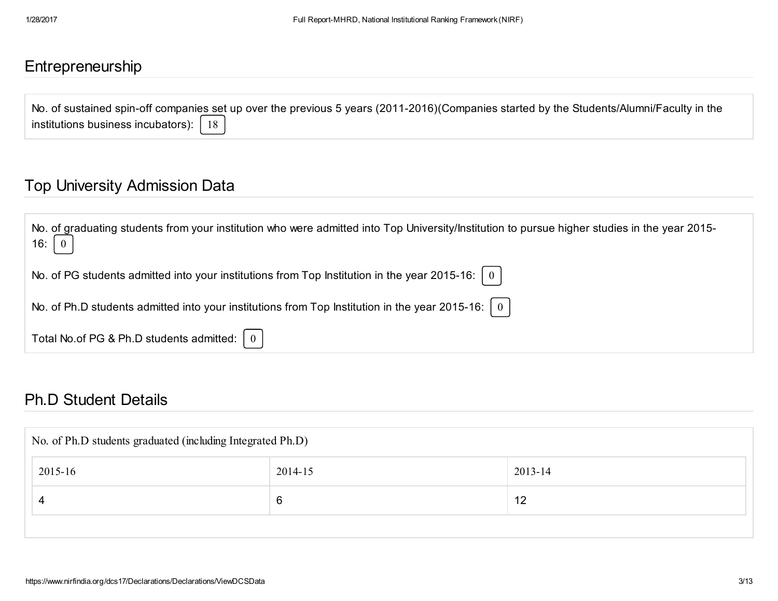### Entrepreneurship

No. of sustained spin-off companies set up over the previous 5 years (2011-2016)(Companies started by the Students/Alumni/Faculty in the institutions business incubators):  $\begin{bmatrix} 18 \end{bmatrix}$ 

### Top University Admission Data

| No. of graduating students from your institution who were admitted into Top University/Institution to pursue higher studies in the year 2015-<br>16: $\begin{bmatrix} 0 \end{bmatrix}$ |
|----------------------------------------------------------------------------------------------------------------------------------------------------------------------------------------|
| No. of PG students admitted into your institutions from Top Institution in the year 2015-16: $\mid 0 \mid$                                                                             |
| No. of Ph.D students admitted into your institutions from Top Institution in the year 2015-16: $\mid 0 \mid$                                                                           |
| Total No.of PG & Ph.D students admitted: $\begin{bmatrix} 0 \end{bmatrix}$                                                                                                             |

#### Ph.D Student Details

| No. of Ph.D students graduated (including Integrated Ph.D) |         |         |  |  |  |  |
|------------------------------------------------------------|---------|---------|--|--|--|--|
| 2015-16                                                    | 2014-15 | 2013-14 |  |  |  |  |
| 4                                                          | 6       | 12      |  |  |  |  |
|                                                            |         |         |  |  |  |  |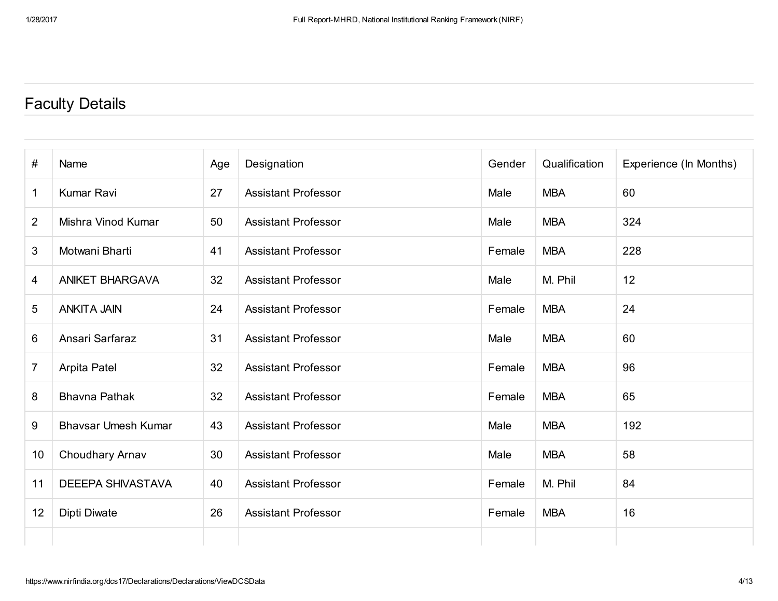# Faculty Details

| $\#$           | Name                       | Age | Designation                | Gender | Qualification | Experience (In Months) |
|----------------|----------------------------|-----|----------------------------|--------|---------------|------------------------|
| 1              | Kumar Ravi                 | 27  | <b>Assistant Professor</b> | Male   | <b>MBA</b>    | 60                     |
| $\overline{2}$ | Mishra Vinod Kumar         | 50  | <b>Assistant Professor</b> | Male   | <b>MBA</b>    | 324                    |
| 3              | Motwani Bharti             | 41  | <b>Assistant Professor</b> | Female | <b>MBA</b>    | 228                    |
| 4              | <b>ANIKET BHARGAVA</b>     | 32  | <b>Assistant Professor</b> | Male   | M. Phil       | 12                     |
| 5              | <b>ANKITA JAIN</b>         | 24  | <b>Assistant Professor</b> | Female | <b>MBA</b>    | 24                     |
| 6              | Ansari Sarfaraz            | 31  | <b>Assistant Professor</b> | Male   | <b>MBA</b>    | 60                     |
| $\overline{7}$ | Arpita Patel               | 32  | <b>Assistant Professor</b> | Female | <b>MBA</b>    | 96                     |
| 8              | <b>Bhavna Pathak</b>       | 32  | <b>Assistant Professor</b> | Female | <b>MBA</b>    | 65                     |
| 9              | <b>Bhavsar Umesh Kumar</b> | 43  | <b>Assistant Professor</b> | Male   | <b>MBA</b>    | 192                    |
| 10             | Choudhary Arnav            | 30  | <b>Assistant Professor</b> | Male   | <b>MBA</b>    | 58                     |
| 11             | <b>DEEEPA SHIVASTAVA</b>   | 40  | <b>Assistant Professor</b> | Female | M. Phil       | 84                     |
| 12             | Dipti Diwate               | 26  | <b>Assistant Professor</b> | Female | <b>MBA</b>    | 16                     |
|                |                            |     |                            |        |               |                        |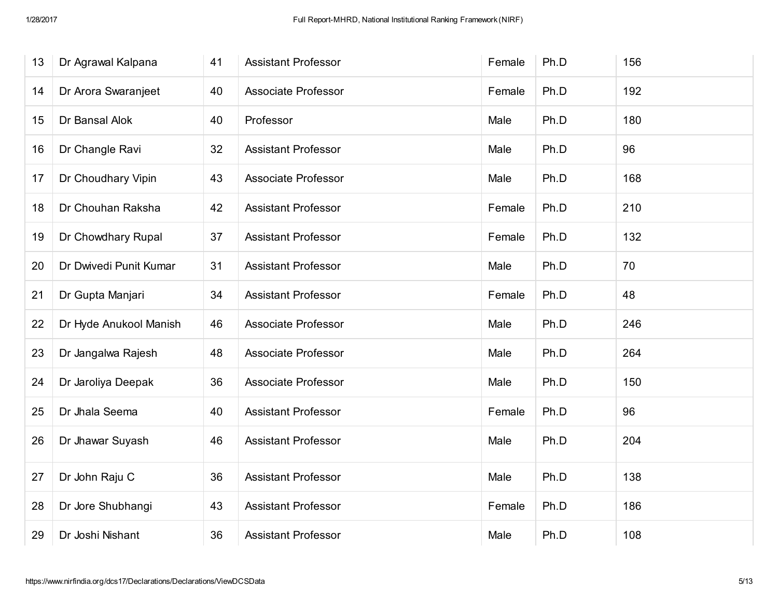| 13 | Dr Agrawal Kalpana     | 41 | <b>Assistant Professor</b> | Female | Ph.D | 156 |
|----|------------------------|----|----------------------------|--------|------|-----|
| 14 | Dr Arora Swaranjeet    | 40 | <b>Associate Professor</b> | Female | Ph.D | 192 |
| 15 | Dr Bansal Alok         | 40 | Professor                  | Male   | Ph.D | 180 |
| 16 | Dr Changle Ravi        | 32 | <b>Assistant Professor</b> | Male   | Ph.D | 96  |
| 17 | Dr Choudhary Vipin     | 43 | <b>Associate Professor</b> | Male   | Ph.D | 168 |
| 18 | Dr Chouhan Raksha      | 42 | <b>Assistant Professor</b> | Female | Ph.D | 210 |
| 19 | Dr Chowdhary Rupal     | 37 | <b>Assistant Professor</b> | Female | Ph.D | 132 |
| 20 | Dr Dwivedi Punit Kumar | 31 | <b>Assistant Professor</b> | Male   | Ph.D | 70  |
| 21 | Dr Gupta Manjari       | 34 | <b>Assistant Professor</b> | Female | Ph.D | 48  |
| 22 | Dr Hyde Anukool Manish | 46 | <b>Associate Professor</b> | Male   | Ph.D | 246 |
| 23 | Dr Jangalwa Rajesh     | 48 | <b>Associate Professor</b> | Male   | Ph.D | 264 |
| 24 | Dr Jaroliya Deepak     | 36 | <b>Associate Professor</b> | Male   | Ph.D | 150 |
| 25 | Dr Jhala Seema         | 40 | <b>Assistant Professor</b> | Female | Ph.D | 96  |
| 26 | Dr Jhawar Suyash       | 46 | <b>Assistant Professor</b> | Male   | Ph.D | 204 |
| 27 | Dr John Raju C         | 36 | <b>Assistant Professor</b> | Male   | Ph.D | 138 |
| 28 | Dr Jore Shubhangi      | 43 | <b>Assistant Professor</b> | Female | Ph.D | 186 |
| 29 | Dr Joshi Nishant       | 36 | <b>Assistant Professor</b> | Male   | Ph.D | 108 |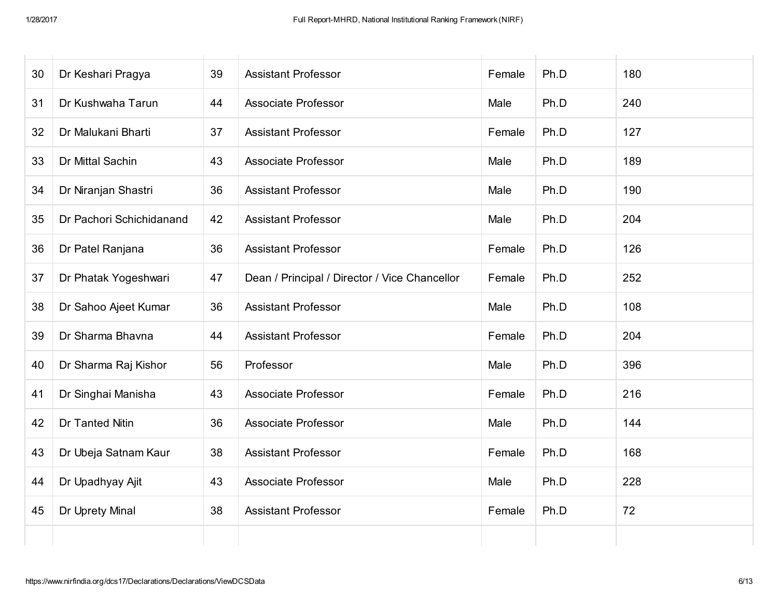| 30 | Dr Keshari Pragya        | 39 | <b>Assistant Professor</b>                    | Female | Ph.D | 180 |
|----|--------------------------|----|-----------------------------------------------|--------|------|-----|
| 31 | Dr Kushwaha Tarun        | 44 | <b>Associate Professor</b>                    | Male   | Ph.D | 240 |
| 32 | Dr Malukani Bharti       | 37 | <b>Assistant Professor</b>                    | Female | Ph.D | 127 |
| 33 | Dr Mittal Sachin         | 43 | <b>Associate Professor</b>                    | Male   | Ph.D | 189 |
| 34 | Dr Niranjan Shastri      | 36 | <b>Assistant Professor</b>                    | Male   | Ph.D | 190 |
| 35 | Dr Pachori Schichidanand | 42 | <b>Assistant Professor</b>                    | Male   | Ph.D | 204 |
| 36 | Dr Patel Ranjana         | 36 | <b>Assistant Professor</b>                    | Female | Ph.D | 126 |
| 37 | Dr Phatak Yogeshwari     | 47 | Dean / Principal / Director / Vice Chancellor | Female | Ph.D | 252 |
| 38 | Dr Sahoo Ajeet Kumar     | 36 | <b>Assistant Professor</b>                    | Male   | Ph.D | 108 |
| 39 | Dr Sharma Bhavna         | 44 | <b>Assistant Professor</b>                    | Female | Ph.D | 204 |
| 40 | Dr Sharma Raj Kishor     | 56 | Professor                                     | Male   | Ph.D | 396 |
| 41 | Dr Singhai Manisha       | 43 | <b>Associate Professor</b>                    | Female | Ph.D | 216 |
| 42 | Dr Tanted Nitin          | 36 | <b>Associate Professor</b>                    | Male   | Ph.D | 144 |
| 43 | Dr Ubeja Satnam Kaur     | 38 | <b>Assistant Professor</b>                    | Female | Ph.D | 168 |
| 44 | Dr Upadhyay Ajit         | 43 | <b>Associate Professor</b>                    | Male   | Ph.D | 228 |
| 45 | Dr Uprety Minal          | 38 | <b>Assistant Professor</b>                    | Female | Ph.D | 72  |
|    |                          |    |                                               |        |      |     |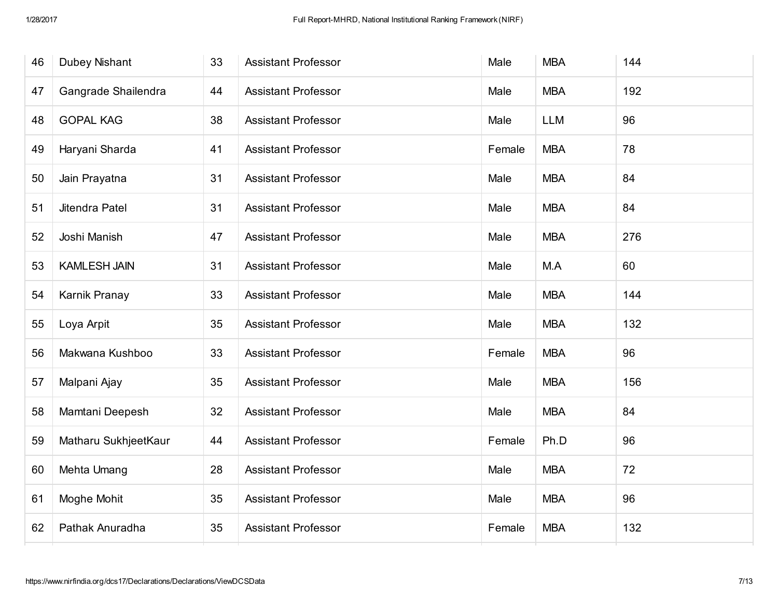| 46 | <b>Dubey Nishant</b> | 33 | <b>Assistant Professor</b> | Male   | <b>MBA</b> | 144 |
|----|----------------------|----|----------------------------|--------|------------|-----|
| 47 | Gangrade Shailendra  | 44 | <b>Assistant Professor</b> | Male   | <b>MBA</b> | 192 |
| 48 | <b>GOPAL KAG</b>     | 38 | <b>Assistant Professor</b> | Male   | <b>LLM</b> | 96  |
| 49 | Haryani Sharda       | 41 | <b>Assistant Professor</b> | Female | <b>MBA</b> | 78  |
| 50 | Jain Prayatna        | 31 | <b>Assistant Professor</b> | Male   | <b>MBA</b> | 84  |
| 51 | Jitendra Patel       | 31 | <b>Assistant Professor</b> | Male   | <b>MBA</b> | 84  |
| 52 | Joshi Manish         | 47 | <b>Assistant Professor</b> | Male   | <b>MBA</b> | 276 |
| 53 | <b>KAMLESH JAIN</b>  | 31 | <b>Assistant Professor</b> | Male   | M.A        | 60  |
| 54 | Karnik Pranay        | 33 | <b>Assistant Professor</b> | Male   | <b>MBA</b> | 144 |
| 55 | Loya Arpit           | 35 | <b>Assistant Professor</b> | Male   | <b>MBA</b> | 132 |
| 56 | Makwana Kushboo      | 33 | <b>Assistant Professor</b> | Female | <b>MBA</b> | 96  |
| 57 | Malpani Ajay         | 35 | <b>Assistant Professor</b> | Male   | <b>MBA</b> | 156 |
| 58 | Mamtani Deepesh      | 32 | <b>Assistant Professor</b> | Male   | <b>MBA</b> | 84  |
| 59 | Matharu SukhjeetKaur | 44 | <b>Assistant Professor</b> | Female | Ph.D       | 96  |
| 60 | Mehta Umang          | 28 | <b>Assistant Professor</b> | Male   | <b>MBA</b> | 72  |
| 61 | Moghe Mohit          | 35 | <b>Assistant Professor</b> | Male   | <b>MBA</b> | 96  |
| 62 | Pathak Anuradha      | 35 | <b>Assistant Professor</b> | Female | <b>MBA</b> | 132 |
|    |                      |    |                            |        |            |     |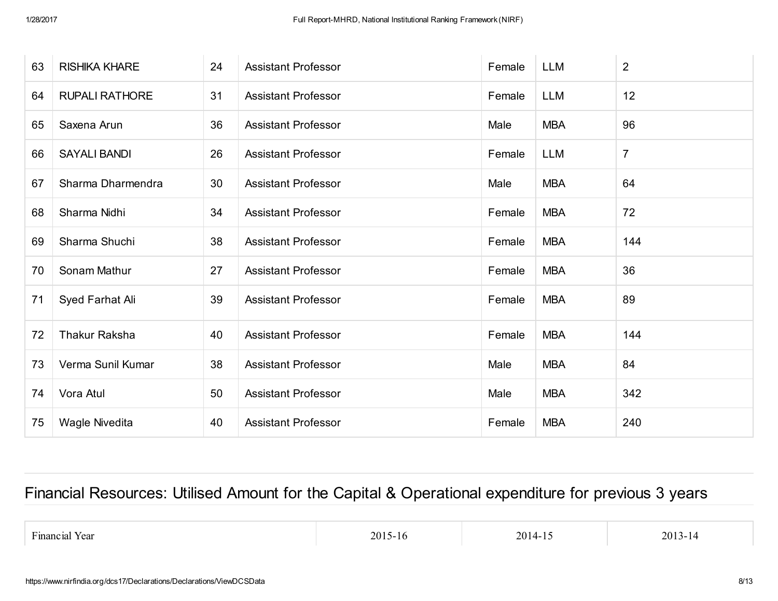| 63 | <b>RISHIKA KHARE</b>  | 24 | <b>Assistant Professor</b> | Female | <b>LLM</b> | $\overline{2}$ |
|----|-----------------------|----|----------------------------|--------|------------|----------------|
| 64 | <b>RUPALI RATHORE</b> | 31 | <b>Assistant Professor</b> | Female | <b>LLM</b> | 12             |
| 65 | Saxena Arun           | 36 | <b>Assistant Professor</b> | Male   | <b>MBA</b> | 96             |
| 66 | <b>SAYALI BANDI</b>   | 26 | <b>Assistant Professor</b> | Female | <b>LLM</b> | $\overline{7}$ |
| 67 | Sharma Dharmendra     | 30 | <b>Assistant Professor</b> | Male   | <b>MBA</b> | 64             |
| 68 | Sharma Nidhi          | 34 | <b>Assistant Professor</b> | Female | <b>MBA</b> | 72             |
| 69 | Sharma Shuchi         | 38 | <b>Assistant Professor</b> | Female | <b>MBA</b> | 144            |
| 70 | Sonam Mathur          | 27 | <b>Assistant Professor</b> | Female | <b>MBA</b> | 36             |
| 71 | Syed Farhat Ali       | 39 | <b>Assistant Professor</b> | Female | <b>MBA</b> | 89             |
| 72 | <b>Thakur Raksha</b>  | 40 | <b>Assistant Professor</b> | Female | <b>MBA</b> | 144            |
| 73 | Verma Sunil Kumar     | 38 | <b>Assistant Professor</b> | Male   | <b>MBA</b> | 84             |
| 74 | Vora Atul             | 50 | <b>Assistant Professor</b> | Male   | <b>MBA</b> | 342            |
| 75 | Wagle Nivedita        | 40 | <b>Assistant Professor</b> | Female | <b>MBA</b> | 240            |

# Financial Resources: Utilised Amount for the Capital & Operational expenditure for previous 3 years

Financial Year 2013-14 2015-16 2015-16 2014-15 2013-14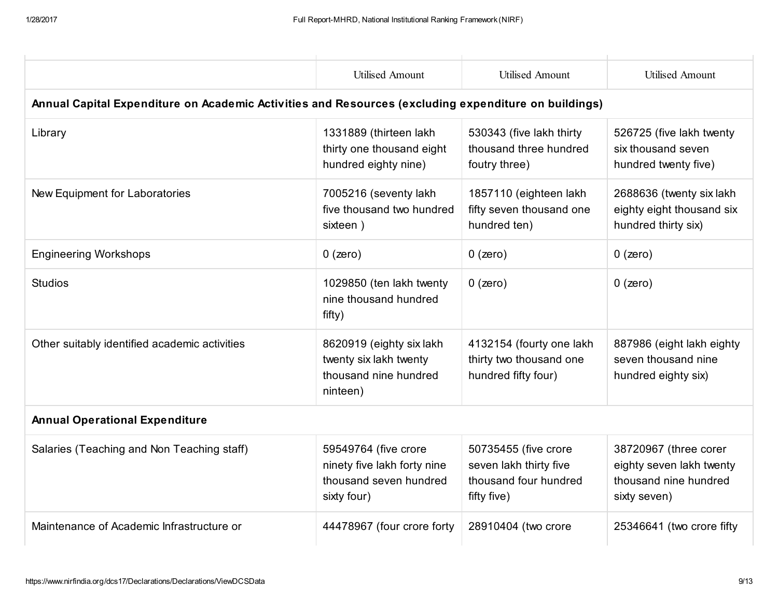|                                                                                                      | <b>Utilised Amount</b>                                                                       | <b>Utilised Amount</b>                                                                 | <b>Utilised Amount</b>                                                                     |  |  |  |  |  |  |
|------------------------------------------------------------------------------------------------------|----------------------------------------------------------------------------------------------|----------------------------------------------------------------------------------------|--------------------------------------------------------------------------------------------|--|--|--|--|--|--|
| Annual Capital Expenditure on Academic Activities and Resources (excluding expenditure on buildings) |                                                                                              |                                                                                        |                                                                                            |  |  |  |  |  |  |
| Library                                                                                              | 1331889 (thirteen lakh<br>thirty one thousand eight<br>hundred eighty nine)                  | 530343 (five lakh thirty<br>thousand three hundred<br>foutry three)                    | 526725 (five lakh twenty<br>six thousand seven<br>hundred twenty five)                     |  |  |  |  |  |  |
| New Equipment for Laboratories                                                                       | 7005216 (seventy lakh<br>five thousand two hundred<br>sixteen)                               | 1857110 (eighteen lakh<br>fifty seven thousand one<br>hundred ten)                     | 2688636 (twenty six lakh<br>eighty eight thousand six<br>hundred thirty six)               |  |  |  |  |  |  |
| <b>Engineering Workshops</b>                                                                         | $0$ (zero)                                                                                   | $0$ (zero)                                                                             | $0$ (zero)                                                                                 |  |  |  |  |  |  |
| <b>Studios</b>                                                                                       | 1029850 (ten lakh twenty<br>nine thousand hundred<br>fifty)                                  | $0$ (zero)                                                                             | $0$ (zero)                                                                                 |  |  |  |  |  |  |
| Other suitably identified academic activities                                                        | 8620919 (eighty six lakh<br>twenty six lakh twenty<br>thousand nine hundred<br>ninteen)      | 4132154 (fourty one lakh<br>thirty two thousand one<br>hundred fifty four)             | 887986 (eight lakh eighty<br>seven thousand nine<br>hundred eighty six)                    |  |  |  |  |  |  |
| <b>Annual Operational Expenditure</b>                                                                |                                                                                              |                                                                                        |                                                                                            |  |  |  |  |  |  |
| Salaries (Teaching and Non Teaching staff)                                                           | 59549764 (five crore<br>ninety five lakh forty nine<br>thousand seven hundred<br>sixty four) | 50735455 (five crore<br>seven lakh thirty five<br>thousand four hundred<br>fifty five) | 38720967 (three corer<br>eighty seven lakh twenty<br>thousand nine hundred<br>sixty seven) |  |  |  |  |  |  |
| Maintenance of Academic Infrastructure or                                                            | 44478967 (four crore forty                                                                   | 28910404 (two crore                                                                    | 25346641 (two crore fifty                                                                  |  |  |  |  |  |  |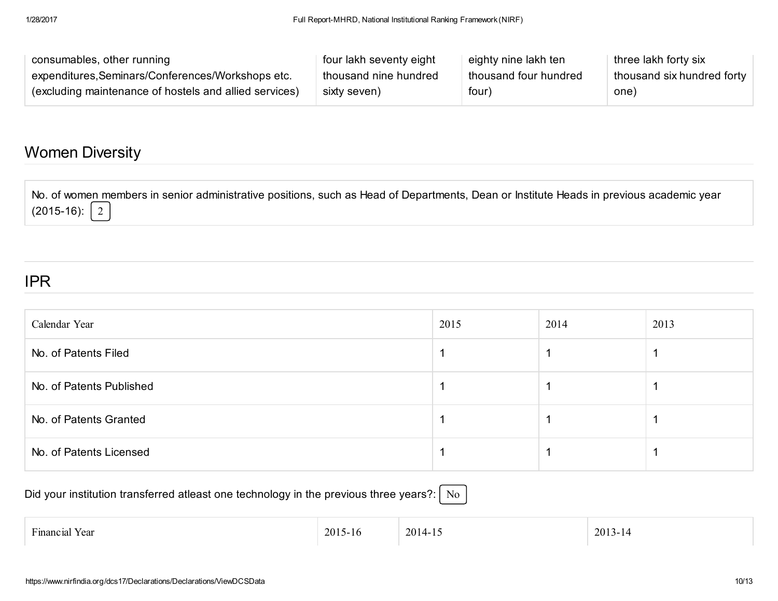| consumables, other running                             | four lakh seventy eight | eighty nine lakh ten  | three lakh forty six       |
|--------------------------------------------------------|-------------------------|-----------------------|----------------------------|
| expenditures, Seminars/Conferences/Workshops etc.      | thousand nine hundred   | thousand four hundred | thousand six hundred forty |
| (excluding maintenance of hostels and allied services) | sixty seven)            | four)                 | one)                       |

### Women Diversity

No. of women members in senior administrative positions, such as Head of Departments, Dean or Institute Heads in previous academic year  $(2015-16):$  2

#### IPR

| Calendar Year            | 2015 | 2014 | 2013 |
|--------------------------|------|------|------|
| No. of Patents Filed     |      |      |      |
| No. of Patents Published |      |      |      |
| No. of Patents Granted   |      |      |      |
| No. of Patents Licensed  |      |      |      |

Did your institution transferred atleast one technology in the previous three years?:  $\vert$  No

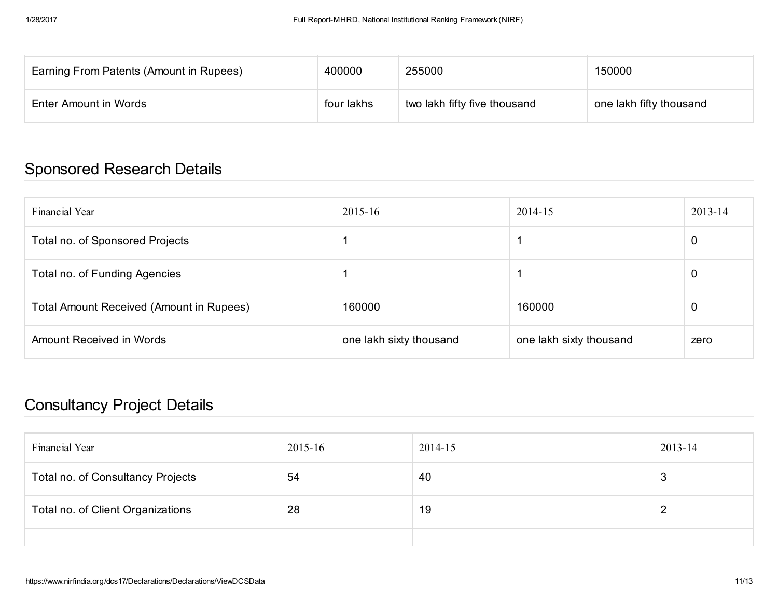| Earning From Patents (Amount in Rupees) | 400000     | 255000                       | 150000                  |
|-----------------------------------------|------------|------------------------------|-------------------------|
| Enter Amount in Words                   | four lakhs | two lakh fifty five thousand | one lakh fifty thousand |

# Sponsored Research Details

| Financial Year                           | 2015-16                 | 2014-15                 | 2013-14        |
|------------------------------------------|-------------------------|-------------------------|----------------|
| Total no. of Sponsored Projects          |                         |                         | $\overline{0}$ |
| Total no. of Funding Agencies            |                         |                         | 0              |
| Total Amount Received (Amount in Rupees) | 160000                  | 160000                  | 0              |
| Amount Received in Words                 | one lakh sixty thousand | one lakh sixty thousand | zero           |

# Consultancy Project Details

| Financial Year                    | 2015-16 | 2014-15 | 2013-14 |
|-----------------------------------|---------|---------|---------|
| Total no. of Consultancy Projects | 54      | 40      | 3       |
| Total no. of Client Organizations | 28      | 19      |         |
|                                   |         |         |         |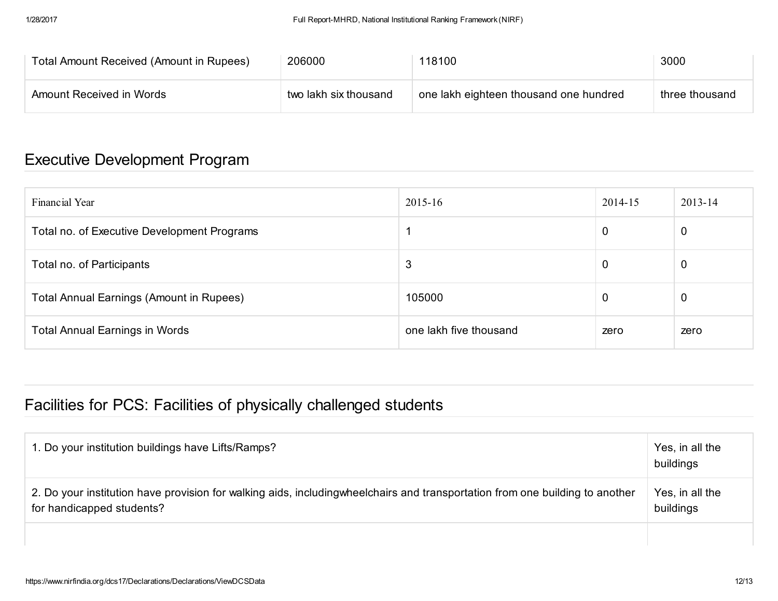| Total Amount Received (Amount in Rupees) | 206000                | 118100                                 | 3000           |
|------------------------------------------|-----------------------|----------------------------------------|----------------|
| Amount Received in Words                 | two lakh six thousand | one lakh eighteen thousand one hundred | three thousand |

# Executive Development Program

| Financial Year                                  | 2015-16                | 2014-15 | 2013-14 |
|-------------------------------------------------|------------------------|---------|---------|
| Total no. of Executive Development Programs     |                        | 0       | 0       |
| Total no. of Participants                       | 3                      | 0       | 0       |
| <b>Total Annual Earnings (Amount in Rupees)</b> | 105000                 | 0       | 0       |
| <b>Total Annual Earnings in Words</b>           | one lakh five thousand | zero    | zero    |

# Facilities for PCS: Facilities of physically challenged students

| 2. Do your institution have provision for walking aids, includingwheelchairs and transportation from one building to another<br>for handicapped students?<br>buildings | Yes, in all the |
|------------------------------------------------------------------------------------------------------------------------------------------------------------------------|-----------------|